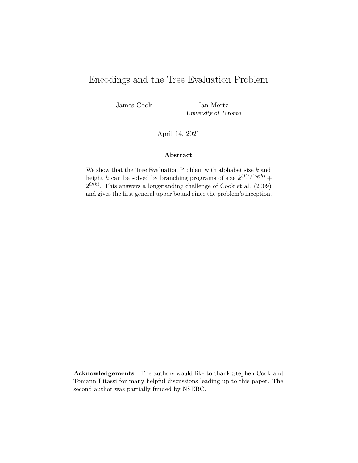# Encodings and the Tree Evaluation Problem

James Cook Ian Mertz University of Toronto

April 14, 2021

#### **Abstract**

We show that the Tree Evaluation Problem with alphabet size *k* and height *h* can be solved by branching programs of size  $k^{O(h/\log h)}$  +  $2^{O(h)}$ . This answers a longstanding challenge of Cook et al. (2009) and gives the first general upper bound since the problem's inception.

**Acknowledgements** The authors would like to thank Stephen Cook and Toniann Pitassi for many helpful discussions leading up to this paper. The second author was partially funded by NSERC.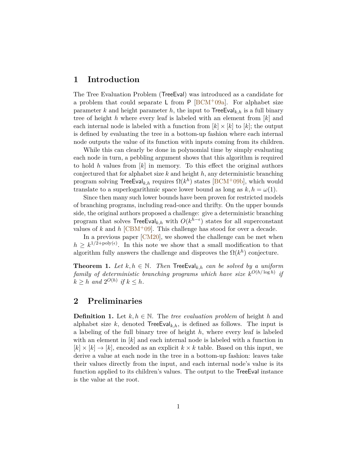## **1 Introduction**

The Tree Evaluation Problem (TreeEval) was introduced as a candidate for a problem that could separate L from  $P$  [\[BCM](#page-12-0)+09a]. For alphabet size parameter *k* and height parameter *h*, the input to  $\mathsf{TreeEval}_{k,h}$  is a full binary tree of height *h* where every leaf is labeled with an element from [*k*] and each internal node is labeled with a function from  $[k] \times [k]$  to  $[k]$ ; the output is defined by evaluating the tree in a bottom-up fashion where each internal node outputs the value of its function with inputs coming from its children.

While this can clearly be done in polynomial time by simply evaluating each node in turn, a pebbling argument shows that this algorithm is required to hold *h* values from [*k*] in memory. To this effect the original authors conjectured that for alphabet size *k* and height *h*, any deterministic branching program solving  $\mathsf{TreeEval}_{k,h}$  requires  $\Omega(k^h)$  states  $[\mathrm{BCM}^+09\mathrm{b}],$  which would translate to a superlogarithmic space lower bound as long as  $k, h = \omega(1)$ .

Since then many such lower bounds have been proven for restricted models of branching programs, including read-once and thrifty. On the upper bounds side, the original authors proposed a challenge: give a deterministic branching program that solves  $\text{TreeEval}_{k,h}$  with  $O(k^{h-\epsilon})$  states for all superconstant values of  $k$  and  $h$  [\[CBM](#page-13-0)<sup>+</sup>09]. This challenge has stood for over a decade.

In a previous paper [\[CM20\]](#page-13-1), we showed the challenge can be met when  $h \geq k^{1/2 + \text{poly}(\epsilon)}$ . In this note we show that a small modification to that algorithm fully answers the challenge and disproves the  $\Omega(k^h)$  conjecture.

<span id="page-1-0"></span>**Theorem 1.** *Let*  $k, h \in \mathbb{N}$ . *Then* **TreeEval**<sub> $k, h$ </sub> *can be solved by a uniform*  $family of deterministic branching programs which have size  $k^{O(h/\log h)}$  if$  $k \geq h$  and  $2^{O(h)}$  if  $k \leq h$ .

### **2 Preliminaries**

**Definition 1.** Let  $k, h \in \mathbb{N}$ . The *tree evaluation problem* of height *h* and alphabet size  $k$ , denoted  $TreeEval_{k,h}$ , is defined as follows. The input is a labeling of the full binary tree of height *h*, where every leaf is labeled with an element in [*k*] and each internal node is labeled with a function in  $[k] \times [k] \rightarrow [k]$ , encoded as an explicit  $k \times k$  table. Based on this input, we derive a value at each node in the tree in a bottom-up fashion: leaves take their values directly from the input, and each internal node's value is its function applied to its children's values. The output to the TreeEval instance is the value at the root.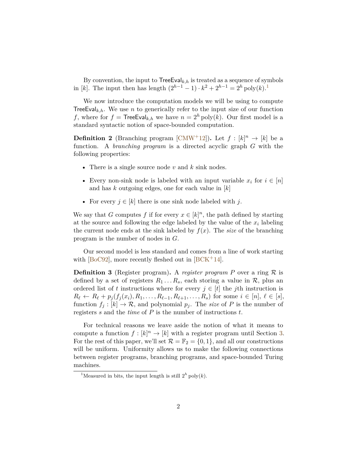By convention, the input to  $TreeEval_{k,h}$  is treated as a sequence of symbols in [*k*]. The input then has length  $(2^{h-1} - 1) \cdot k^2 + 2^{h-1} = 2^h \text{poly}(k)$  $(2^{h-1} - 1) \cdot k^2 + 2^{h-1} = 2^h \text{poly}(k)$  $(2^{h-1} - 1) \cdot k^2 + 2^{h-1} = 2^h \text{poly}(k)$ .<sup>1</sup>

We now introduce the computation models we will be using to compute TreeEval<sub>k,h</sub>. We use *n* to generically refer to the input size of our function *f*, where for  $f =$  TreeEval<sub>k,h</sub> we have  $n = 2<sup>h</sup>$  poly(*k*). Our first model is a standard syntactic notion of space-bounded computation.

**Definition 2** (Branching program [\[CMW](#page-13-2)<sup>+</sup>12]). Let  $f : [k]^n \to [k]$  be a function. A *branching program* is a directed acyclic graph *G* with the following properties:

- There is a single source node *v* and *k* sink nodes.
- Every non-sink node is labeled with an input variable  $x_i$  for  $i \in [n]$ and has *k* outgoing edges, one for each value in [*k*]
- For every  $j \in [k]$  there is one sink node labeled with j.

We say that *G* computes *f* if for every  $x \in [k]^n$ , the path defined by starting at the source and following the edge labeled by the value of the *x<sup>i</sup>* labeling the current node ends at the sink labeled by  $f(x)$ . The *size* of the branching program is the number of nodes in *G*.

Our second model is less standard and comes from a line of work starting with  $[BoC92]$ , more recently fleshed out in  $[BCK^+14]$  $[BCK^+14]$ .

<span id="page-2-1"></span>**Definition 3** (Register program). A *register program* P over a ring  $\mathcal{R}$  is defined by a set of registers  $R_1 \ldots R_s$ , each storing a value in  $\mathcal{R}$ , plus an ordered list of *t* instructions where for every  $j \in [t]$  the *j*th instruction is  $R_{\ell} \leftarrow R_{\ell} + p_j(f_j(x_i), R_1, \ldots, R_{\ell-1}, R_{\ell+1}, \ldots, R_s)$  for some  $i \in [n], \ell \in [s],$ function  $f_j : [k] \to \mathcal{R}$ , and polynomial  $p_j$ . The *size* of P is the number of registers *s* and the *time* of *P* is the number of instructions *t*.

For technical reasons we leave aside the notion of what it means to compute a function  $f : [k]^n \to [k]$  with a register program until Section [3.](#page-3-0) For the rest of this paper, we'll set  $\mathcal{R} = \mathbb{F}_2 = \{0, 1\}$ , and all our constructions will be uniform. Uniformity allows us to make the following connections between register programs, branching programs, and space-bounded Turing machines.

<span id="page-2-0"></span><sup>&</sup>lt;sup>1</sup>Measured in bits, the input length is still  $2^h$  poly $(k)$ .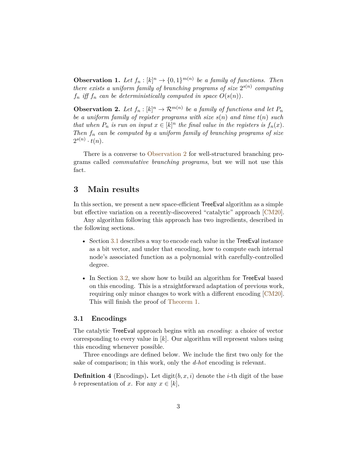**Observation 1.** Let  $f_n : [k]^n \to \{0, 1\}^{m(n)}$  be a family of functions. Then *there exists a uniform family of branching programs of size*  $2^{s(n)}$  *computing f*<sup>*n*</sup> *iff f*<sup>*n*</sup> *can be deterministically computed in space*  $O(s(n))$ *.* 

<span id="page-3-1"></span>**Observation 2.** Let  $f_n : [k]^n \to \mathcal{R}^{m(n)}$  be a family of functions and let  $P_n$ *be a uniform family of register programs with size s*(*n*) *and time t*(*n*) *such that when*  $P_n$  *is run on input*  $x \in [k]^n$  *the final value in the registers is*  $f_n(x)$ *. Then f<sup>n</sup> can be computed by a uniform family of branching programs of size*  $2^{s(n)} \cdot t(n)$ .

There is a converse to [Observation 2](#page-3-1) for well-structured branching programs called *commutative branching programs*, but we will not use this fact.

## <span id="page-3-0"></span>**3 Main results**

In this section, we present a new space-efficient TreeEval algorithm as a simple but effective variation on a recently-discovered "catalytic" approach [\[CM20\]](#page-13-1).

Any algorithm following this approach has two ingredients, described in the following sections.

- Section [3.1](#page-3-2) describes a way to encode each value in the Tree Eval instance as a bit vector, and under that encoding, how to compute each internal node's associated function as a polynomial with carefully-controlled degree.
- In Section [3.2,](#page-5-0) we show how to build an algorithm for Tree Eval based on this encoding. This is a straightforward adaptation of previous work, requiring only minor changes to work with a different encoding [\[CM20\]](#page-13-1). This will finish the proof of [Theorem 1.](#page-1-0)

#### <span id="page-3-2"></span>**3.1 Encodings**

The catalytic TreeEval approach begins with an *encoding*: a choice of vector corresponding to every value in [*k*]. Our algorithm will represent values using this encoding whenever possible.

Three encodings are defined below. We include the first two only for the sake of comparison; in this work, only the *d-hot* encoding is relevant.

<span id="page-3-3"></span>**Definition 4** (Encodings). Let digit( $b, x, i$ ) denote the *i*-th digit of the base *b* representation of *x*. For any  $x \in [k]$ ,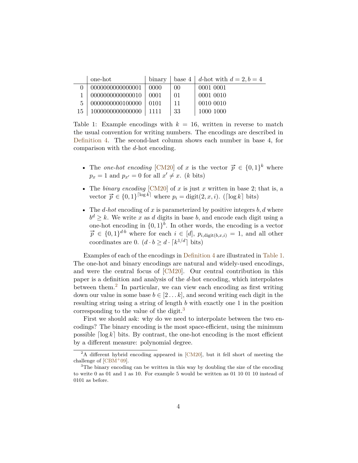|    | one-hot          | binary |            | base 4   d-hot with $d = 2, b = 4$ |
|----|------------------|--------|------------|------------------------------------|
|    | 0000000000000001 | 0000   | 00         | 0001 0001                          |
|    | 0000000000000010 | 0001   | $\Omega$ 1 | 0001 0010                          |
|    | 0000000000100000 | 0101   | 11         | 0010 0010                          |
| 15 | 1000000000000000 | -1111  | 33         | 1000 1000                          |

<span id="page-4-0"></span>Table 1: Example encodings with  $k = 16$ , written in reverse to match the usual convention for writing numbers. The encodings are described in [Definition 4.](#page-3-3) The second-last column shows each number in base 4, for comparison with the *d*-hot encoding.

- The *one-hot encoding* [\[CM20\]](#page-13-1) of *x* is the vector  $\vec{p} \in \{0,1\}^k$  where  $p_x = 1$  and  $p_{x'} = 0$  for all  $x' \neq x$ . (*k* bits)
- The *binary encoding* [\[CM20\]](#page-13-1) of  $x$  is just  $x$  written in base 2; that is, a vector  $\vec{p} \in \{0,1\}^{\lceil \log k \rceil}$  where  $p_i = \text{digit}(2, x, i)$ . ( $\lceil \log k \rceil$  bits)
- The *d-hot* encoding of *x* is parameterized by positive integers *b, d* where  $b^d \geq k$ . We write *x* as *d* digits in base *b*, and encode each digit using a one-hot encoding in  $\{0,1\}^b$ . In other words, the encoding is a vector  $\vec{p} \in \{0,1\}$ <sup>*d*</sup><sup>*b*</sup> where for each  $i \in [d]$ ,  $p_{i,\text{digit}(b,x,i)} = 1$ , and all other coordinates are 0.  $(d \cdot b \ge d \cdot \lceil k^{1/d} \rceil \text{ bits})$

Examples of each of the encodings in [Definition 4](#page-3-3) are illustrated in [Table 1.](#page-4-0) The one-hot and binary encodings are natural and widely-used encodings, and were the central focus of [\[CM20\]](#page-13-1). Our central contribution in this paper is a definition and analysis of the *d*-hot encoding, which interpolates between them.<sup>[2](#page-4-1)</sup> In particular, we can view each encoding as first writing down our value in some base  $b \in [2 \dots k]$ , and second writing each digit in the resulting string using a string of length *b* with exactly one 1 in the position corresponding to the value of the digit.<sup>[3](#page-4-2)</sup>

First we should ask: why do we need to interpolate between the two encodings? The binary encoding is the most space-efficient, using the minimum possible  $\lceil \log k \rceil$  bits. By contrast, the one-hot encoding is the most efficient by a different measure: polynomial degree.

<span id="page-4-1"></span><sup>&</sup>lt;sup>2</sup>A different hybrid encoding appeared in [\[CM20\]](#page-13-1), but it fell short of meeting the challenge of  $[CBM^+09]$  $[CBM^+09]$ .

<span id="page-4-2"></span><sup>&</sup>lt;sup>3</sup>The binary encoding can be written in this way by doubling the size of the encoding to write 0 as 01 and 1 as 10. For example 5 would be written as 01 10 01 10 instead of 0101 as before.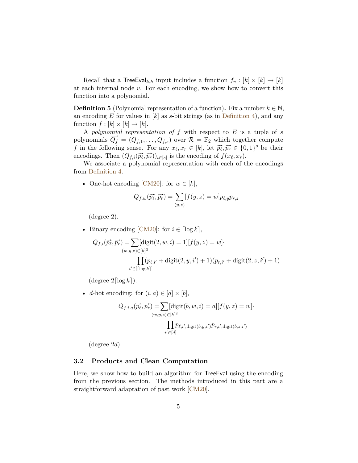Recall that a  $\mathsf{TreeEval}_{k,h}$  input includes a function  $f_v : [k] \times [k] \to [k]$ at each internal node *v*. For each encoding, we show how to convert this function into a polynomial.

<span id="page-5-1"></span>**Definition 5** (Polynomial representation of a function). Fix a number  $k \in \mathbb{N}$ , an encoding *E* for values in [*k*] as *s*-bit strings (as in [Definition 4\)](#page-3-3), and any function  $f : [k] \times [k] \rightarrow [k]$ .

A *polynomial representation of f* with respect to *E* is a tuple of *s* polynomials  $\overline{Q_f} = (Q_{f,1}, \ldots, Q_{f,s})$  over  $\mathcal{R} = \mathbb{F}_2$  which together compute *f* in the following sense. For any  $x_{\ell}, x_{r} \in [k]$ , let  $\overrightarrow{p_{\ell}}, \overrightarrow{p_{r}} \in \{0, 1\}^{s}$  be their encodings. Then  $(Q_{f,i}(\vec{p}, \vec{p}, \vec{p}_r))_{i \in [s]}$  is the encoding of  $f(x_\ell, x_r)$ .

We associate a polynomial representation with each of the encodings from [Definition 4.](#page-3-3)

• One-hot encoding [\[CM20\]](#page-13-1): for  $w \in [k]$ ,

$$
Q_{f,w}(\vec{p_{\ell}}, \vec{p_r}) = \sum_{(y,z)} [f(y,z) = w] p_{\ell,y} p_{r,z}
$$

(degree 2).

• Binary encoding  $[CM20]$ : for  $i \in [\log k]$ ,

$$
Q_{f,i}(\vec{p_{\ell}}, \vec{p_r}) = \sum [\text{digit}(2, w, i) = 1][f(y, z) = w].
$$
  

$$
\prod_{i' \in [\lceil \log k \rceil]} (p_{\ell, i'} + \text{digit}(2, y, i') + 1)(p_{r, i'} + \text{digit}(2, z, i') + 1)
$$

 $(\text{degree } 2 \lceil \log k \rceil).$ 

• *d*-hot encoding: for  $(i, a) \in [d] \times [b]$ ,

$$
Q_{f,i,a}(\vec{p_{\ell}}, \vec{p_r}) = \sum [\text{digit}(b, w, i) = a][f(y, z) = w] \cdot \prod_{(w,y,z) \in [k]^3} p_{\ell,i',\text{digit}(b,y,i')} p_{r,i',\text{digit}(b,z,i')}
$$

(degree 2*d*).

#### <span id="page-5-0"></span>**3.2 Products and Clean Computation**

Here, we show how to build an algorithm for TreeEval using the encoding from the previous section. The methods introduced in this part are a straightforward adaptation of past work [\[CM20\]](#page-13-1).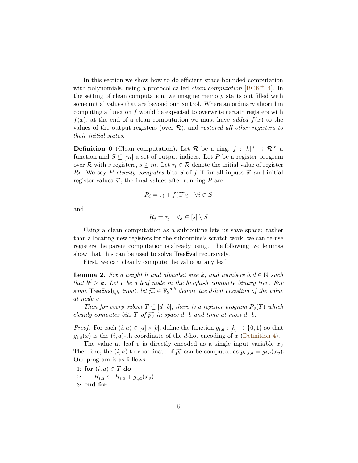In this section we show how to do efficient space-bounded computation with polynomials, using a protocol called *clean computation* [\[BCK](#page-12-3)+14]. In the setting of clean computation, we imagine memory starts out filled with some initial values that are beyond our control. Where an ordinary algorithm computing a function *f* would be expected to overwrite certain registers with  $f(x)$ , at the end of a clean computation we must have *added*  $f(x)$  to the values of the output registers (over R), and *restored all other registers to their initial states*.

<span id="page-6-1"></span>**Definition 6** (Clean computation). Let R be a ring,  $f : [k]^n \to \mathbb{R}^m$  a function and  $S \subseteq [m]$  a set of output indices. Let P be a register program over R with *s* registers,  $s \geq m$ . Let  $\tau_i \in \mathcal{R}$  denote the initial value of register  $R_i$ . We say *P cleanly computes* bits *S* of *f* if for all inputs  $\vec{x}$  and initial register values  $\vec{\tau}$ , the final values after running *P* are

$$
R_i = \tau_i + f(\vec{x})_i \quad \forall i \in S
$$

and

$$
R_j = \tau_j \quad \forall j \in [s] \setminus S
$$

Using a clean computation as a subroutine lets us save space: rather than allocating new registers for the subroutine's scratch work, we can re-use registers the parent computation is already using. The following two lemmas show that this can be used to solve TreeEval recursively.

First, we can cleanly compute the value at any leaf.

<span id="page-6-0"></span>**Lemma 2.** *Fix a height h and alphabet size k*, *and numbers*  $b, d \in \mathbb{N}$  *such that*  $b^d \geq k$ *. Let v be a leaf node in the height-h complete binary tree. For* some  $\text{TreeEval}_{k,h}$  *input, let*  $\overline{p_v} \in \mathbb{F}_2^{d \cdot b}$  *denote the d-hot encoding of the value at node v.*

*Then for every subset*  $T \subseteq [d \cdot b]$ *, there is a register program*  $P_v(T)$  *which cleanly computes bits*  $T$  *of*  $\overrightarrow{p_v}$  *in space*  $d \cdot b$  *and time at most*  $d \cdot b$ *.* 

*Proof.* For each  $(i, a) \in [d] \times [b]$ , define the function  $g_{i,a} : [k] \to \{0, 1\}$  so that  $g_{i,a}(x)$  is the  $(i, a)$ -th coordinate of the *d*-hot encoding of *x* [\(Definition 4\)](#page-3-3).

The value at leaf *v* is directly encoded as a single input variable  $x<sub>v</sub>$ Therefore, the  $(i, a)$ -th coordinate of  $\vec{p}_v$  can be computed as  $p_{v,i,a} = g_{i,a}(x_v)$ . Our program is as follows:

1: for 
$$
(i, a) \in T
$$
 do

- 2:  $R_{i,a} \leftarrow R_{i,a} + g_{i,a}(x_v)$
- 3: **end for**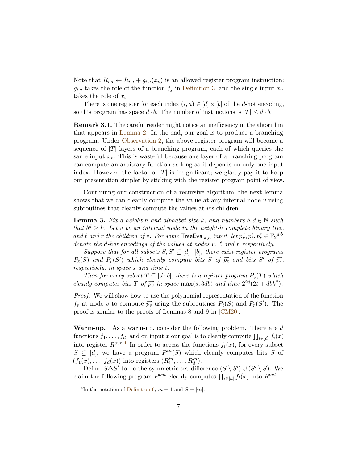Note that  $R_{i,a} \leftarrow R_{i,a} + g_{i,a}(x_v)$  is an allowed register program instruction:  $g_{i,a}$  takes the role of the function  $f_j$  in [Definition 3,](#page-2-1) and the single input  $x_v$ takes the role of *x<sup>i</sup>* .

There is one register for each index  $(i, a) \in [d] \times [b]$  of the *d*-hot encoding, so this program has space  $d \cdot b$ . The number of instructions is  $|T| \leq d \cdot b$ .  $\Box$ 

**Remark 3.1.** The careful reader might notice an inefficiency in the algorithm that appears in [Lemma 2.](#page-6-0) In the end, our goal is to produce a branching program. Under [Observation 2,](#page-3-1) the above register program will become a sequence of  $|T|$  layers of a branching program, each of which queries the same input  $x<sub>v</sub>$ . This is wasteful because one layer of a branching program can compute an arbitrary function as long as it depends on only one input index. However, the factor of  $|T|$  is insignificant; we gladly pay it to keep our presentation simpler by sticking with the register program point of view.

Continuing our construction of a recursive algorithm, the next lemma shows that we can cleanly compute the value at any internal node *v* using subroutines that cleanly compute the values at *v*'s children.

<span id="page-7-1"></span>**Lemma 3.** *Fix a height h and alphabet size k*, and numbers  $b, d \in \mathbb{N}$  *such that*  $b^d \geq k$ *. Let v be an internal node in the height-h complete binary tree, and*  $\ell$  *and*  $r$  *the children of*  $v$ *. For some* TreeEval<sub>k,*h*</sub> *input, let*  $\overrightarrow{p_v}, \overrightarrow{p_v}, \overrightarrow{p_r} \in F_2$ <sup>*d*</sup><sup>*b*</sup> *denote the d-hot encodings of the values at nodes v, ` and r respectively.*

*Suppose that for all subsets*  $S, S' \subseteq [d] \cdot [b]$ , there exist register programs  $P_{\ell}(S)$  and  $P_{r}(S')$  which cleanly compute bits *S* of  $\overrightarrow{p_{\ell}}$  and bits *S'* of  $\overrightarrow{p_{r}}$ , *respectively, in space s and time t.*

*Then for every subset*  $T \subseteq [d \cdot b]$ *, there is a register program*  $P_v(T)$  *which cleanly computes bits T* of  $\overline{p_v}$  *in space* max(*s*, 3*db*) *and time*  $2^{2d}(2t + dbk^2)$ *.* 

*Proof.* We will show how to use the polynomial representation of the function *f*<sub>*v*</sub> at node *v* to compute  $\overline{p_v}$  using the subroutines  $P_{\ell}(S)$  and  $P_r(S')$ . The proof is similar to the proofs of Lemmas 8 and 9 in [\[CM20\]](#page-13-1).

**Warm-up.** As a warm-up, consider the following problem. There are *d* functions  $f_1, \ldots, f_d$ , and on input *x* our goal is to cleanly compute  $\prod_{i \in [d]} f_i(x)$ into register  $R^{out}$ <sup>[4](#page-7-0)</sup>. In order to access the functions  $f_i(x)$ , for every subset  $S \subseteq [d]$ , we have a program  $P^{in}(S)$  which cleanly computes bits *S* of  $(f_1(x), \ldots, f_d(x))$  into registers  $(R_1^{in}, \ldots, R_d^{in}).$ 

Define  $S\Delta S'$  to be the symmetric set difference  $(S \setminus S') \cup (S' \setminus S)$ . We claim the following program  $P^{out}$  cleanly computes  $\prod_{i \in [d]} f_i(x)$  into  $R^{out}$ :

<span id="page-7-0"></span><sup>&</sup>lt;sup>4</sup>In the notation of [Definition 6,](#page-6-1)  $m = 1$  and  $S = [m]$ .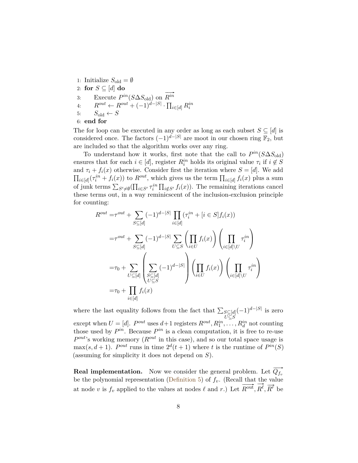1: Initialize  $S_{\text{old}} = \emptyset$ 2: **for**  $S \subseteq [d]$  **do** 3: Execute  $P^{in}(S \Delta S_{old})$  on  $\overrightarrow{ }$ *Rin* 4:  $R^{out} \leftarrow R^{out} + (-1)^{d-|S|} \cdot \prod_{i \in [d]} R_i^{in}$ 5:  $S_{old} \leftarrow S$ 6: **end for**

The for loop can be executed in any order as long as each subset  $S \subseteq [d]$  is considered once. The factors  $(-1)^{d-|S|}$  are moot in our chosen ring  $\mathbb{F}_2$ , but are included so that the algorithm works over any ring.

To understand how it works, first note that the call to  $P^{in}(S \Delta S_{old})$ ensures that for each  $i \in [d]$ , register  $R_i^{in}$  holds its original value  $\tau_i$  if  $i \notin S$ and  $\tau_i + f_i(x)$  otherwise. Consider first the iteration where  $S = [d]$ . We add  $\prod_{i \in [d]} (\tau_i^{in} + f_i(x))$  to  $R^{out}$ , which gives us the term  $\prod_{i \in [d]} f_i(x)$  plus a sum of junk terms  $\sum_{S'\neq\emptyset}(\prod_{i\in S'} \tau_i^{in} \prod_{i\notin S'} f_i(x))$ . The remaining iterations cancel these terms out, in a way reminicscent of the inclusion-exclusion principle for counting:

$$
R^{out} = \tau^{out} + \sum_{S \subseteq [d]} (-1)^{d-|S|} \prod_{i \in [d]} (\tau_i^{in} + [i \in S] f_i(x))
$$
  

$$
= \tau^{out} + \sum_{S \subseteq [d]} (-1)^{d-|S|} \sum_{U \subseteq S} \left( \prod_{i \in U} f_i(x) \right) \left( \prod_{i \in [d] \setminus U} \tau_i^{in} \right)
$$
  

$$
= \tau_0 + \sum_{U \subseteq [d]} \left( \sum_{\substack{S \subseteq [d] \\ U \subseteq S}} (-1)^{d-|S|} \right) \left( \prod_{i \in U} f_i(x) \right) \left( \prod_{i \in [d] \setminus U} \tau_i^{in} \right)
$$
  

$$
= \tau_0 + \prod_{i \in [d]} f_i(x)
$$

where the last equality follows from the fact that  $\sum_{S \subseteq [d]}$ *U*⊆*S*  $(-1)^{d-|S|}$  is zero except when  $U = [d]$ .  $P^{out}$  uses  $d+1$  registers  $R^{out}, R_1^{in}, \ldots, R_d^{in}$  not counting those used by  $P^{in}$ . Because  $P^{in}$  is a clean computation, it is free to re-use *P out*'s working memory (*Rout* in this case), and so our total space usage is  $\max(s, d+1)$ . *P*<sup>out</sup> runs in time  $2^d(t+1)$  where *t* is the runtime of  $P^{in}(S)$ (assuming for simplicity it does not depend on *S*).

**Real implementation.** Now we consider the general problem. Let  $\overrightarrow{Q_{f_v}}$ be the polynomial representation [\(Definition 5\)](#page-5-1) of  $f_v$ . (Recall that the value at node *v* is  $f_v$  applied to the values at nodes  $\ell$  and *r*.) Let  $\overline{R^{out}}$ ,  $\overline{R^{\ell}}$ ,  $\overline{R^{\tau}}$  be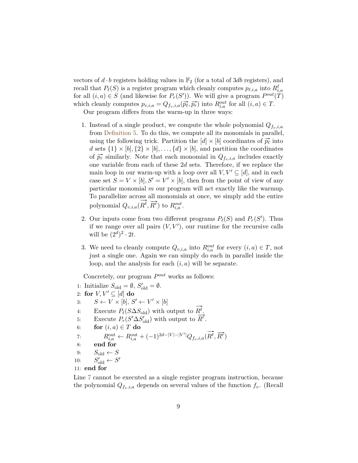vectors of  $d \cdot b$  registers holding values in  $\mathbb{F}_2$  (for a total of 3*db* registers), and recall that  $P_{\ell}(S)$  is a register program which cleanly computes  $p_{\ell,i,a}$  into  $R^{\ell}_{i,a}$ for all  $(i, a) \in S$  (and likewise for  $P_r(S')$ ). We will give a program  $P^{out}(T)$ which cleanly computes  $p_{v,i,a} = Q_{f_v,i,a}(\overrightarrow{p_{\ell}}, \overrightarrow{p_r})$  into  $R_{i,a}^{out}$  for all  $(i, a) \in T$ .

Our program differs from the warm-up in three ways:

- 1. Instead of a single product, we compute the whole polynomial  $Q_{fv,i,a}$ from [Definition 5.](#page-5-1) To do this, we compute all its monomials in parallel, using the following trick. Partition the  $[d] \times [b]$  coordinates of  $\overrightarrow{p_{\ell}}$  into *d* sets  $\{1\} \times [b], \{2\} \times [b], \ldots, \{d\} \times [b]$ , and partition the coordinates of  $\vec{p}_r$  similarly. Note that each monomial in  $Q_{f_v,i,a}$  includes exactly one variable from each of these 2*d* sets. Therefore, if we replace the main loop in our warm-up with a loop over all  $V, V' \subseteq [d]$ , and in each case set  $S = V \times [b], S' = V' \times [b]$ , then from the point of view of any particular monomial *m* our program will act exactly like the warmup. To parallelize across all monomials at once, we simply add the entire polynomial  $Q_{v,i,a}(\overline{R^{\ell}}, \overline{R^r})$  to  $R_{i,a}^{out}$ .
- 2. Our inputs come from two different programs  $P_{\ell}(S)$  and  $P_r(S')$ . Thus if we range over all pairs  $(V, V')$ , our runtime for the recursive calls will be  $(2^d)^2 \cdot 2t$ .
- <span id="page-9-0"></span>3. We need to cleanly compute  $Q_{v,i,a}$  into  $R_{i,a}^{out}$  for every  $(i,a) \in T$ , not just a single one. Again we can simply do each in parallel inside the loop, and the analysis for each (*i, a*) will be separate.

Concretely, our program  $P^{out}$  works as follows:

1: Initialize  $S_{\text{old}} = \emptyset$ ,  $S'_{\text{old}} = \emptyset$ . 2: **for**  $V, V' \subseteq [d]$  **do** 3:  $S \leftarrow V \times [b], S' \leftarrow V' \times [b]$ 4: Execute  $P_{\ell}(S \Delta S_{old})$  with output to  $\rightarrow$  $R^\ell.$ 4: Execute  $P_{\ell}(\text{S} \Delta \text{S}_{old})$  with output to  $R^{\tau}$ .<br>5: Execute  $P_r(\text{S}' \Delta \text{S}'_{old})$  with output to  $R^{\tau}$ . 6: **for**  $(i, a) \in T$  **do** 7:  $R_{i,a}^{\text{out}} \leftarrow R_{i,a}^{\text{out}} + (-1)^{2d - |V| - |V'|} Q_{f_v,i,a}$  $\rightarrow$  $\overrightarrow{R^{\ell}}, \overrightarrow{R^r}$ 8: **end for** 9:  $S_{\text{old}} \leftarrow S$ 10: *S*  $S'_{\text{old}} \leftarrow S'$ 11: **end for**

Line [7](#page-9-0) cannot be executed as a single register program instruction, because the polynomial  $Q_{f_v,i,a}$  depends on several values of the function  $f_v$ . (Recall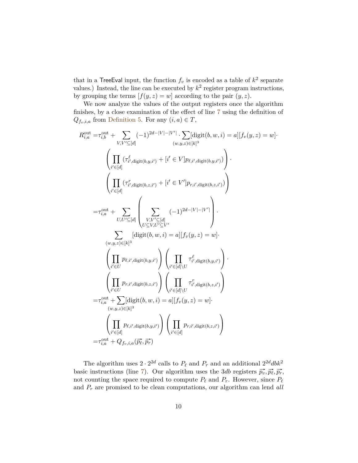that in a TreeEval input, the function  $f_v$  is encoded as a table of  $k^2$  separate values.) Instead, the line can be executed by  $k^2$  register program instructions, by grouping the terms  $[f(y, z) = w]$  according to the pair  $(y, z)$ .

We now analyze the values of the output registers once the algorithm finishes, by a close examination of the effect of line [7](#page-9-0) using the definition of  $Q_{f_v,i,a}$  from [Definition 5.](#page-5-1) For any  $(i, a) \in T$ ,

$$
R_{i,a}^{\text{out}} = \tau_{i,b}^{\text{out}} + \sum_{V,V'\subseteq[d]} (-1)^{2d-|V|-|V'|} \cdot \sum_{(w,y,z)\in[k]^3} [\text{digit}(b, w, i) = a][f_v(y, z) = w].
$$
  

$$
\left(\prod_{i'\in[d]} (\tau_{i',\text{digit}(b,y,i')}^F + [i' \in V]p_{i,i',\text{digit}(b,y,i')})\right) \cdot
$$
  

$$
\left(\prod_{i'\in[d]} (\tau_{i',\text{digit}(b,z,i')}^T + [i' \in V']p_{r,i',\text{digit}(b,z,i')})\right)
$$
  

$$
= \tau_{i,a}^{\text{out}} + \sum_{U,U'\subseteq[d]} \left(\sum_{\substack{V,V'\subseteq[d] \\ U\subseteq V,U'\subseteq V'}} (-1)^{2d-|V|-|V'|}\right) \cdot
$$
  

$$
\sum_{(w,y,z)\in[k]^3} [\text{digit}(b, w, i) = a][f_v(y, z) = w].
$$
  

$$
\left(\prod_{i'\in U} p_{\ell,i',\text{digit}(b,y,i')}\right) \left(\prod_{i'\in[d]\setminus U} \tau_{i',\text{digit}(b,y,i')}^F\right) \cdot
$$
  

$$
\left(\prod_{i'\in U} p_{r,i',\text{digit}(b,z,i')}\right) \left(\prod_{i'\in[d]\setminus U} \tau_{i',\text{digit}(b,z,i')}^T\right)
$$
  

$$
= \tau_{i,a}^{\text{out}} + \sum_{(w,y,z)\in[k]^3} [\text{digit}(b, w, i) = a][f_v(y, z) = w].
$$
  

$$
\left(\prod_{i'\in[d]} p_{\ell,i',\text{digit}(b,y,i')}\right) \left(\prod_{i'\in[d]} p_{r,i',\text{digit}(b,z,i')}\right)
$$
  

$$
= \tau_{i,a}^{\text{out}} + Q_{f_v,i,a}(\overrightarrow{p}, \overrightarrow{p_r})
$$

The algorithm uses  $2 \cdot 2^{2d}$  calls to  $P_\ell$  and  $P_r$  and an additional  $2^{2d}dbk^2$ basic instructions (line [7\)](#page-9-0). Our algorithm uses the 3*db* registers  $\vec{p_v}, \vec{p_t}, \vec{p_r}, \vec{p_r}$ not counting the space required to compute  $P_\ell$  and  $P_r$ . However, since  $P_\ell$ and *P<sup>r</sup>* are promised to be clean computations, our algorithm can lend *all*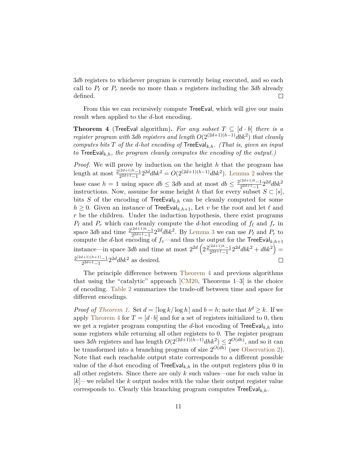3*db* registers to whichever program is currently being executed, and so each call to  $P_\ell$  or  $P_r$  needs no more than *s* registers including the 3*db* already  $\Box$ defined.

From this we can recursively compute TreeEval, which will give our main result when applied to the *d*-hot encoding.

<span id="page-11-0"></span>**Theorem 4** (TreeEval algorithm). For any subset  $T \subseteq [d \cdot b]$  there is a *register program with* 3*db registers and length*  $O(2^{(2d+1)(h-1)}dbk^2)$  *that cleanly computes bits T of the d-hot encoding of* TreeEval*k,h. (That is, given an input to* TreeEval*k,h, the program cleanly computes the encoding of the output.)*

*Proof.* We will prove by induction on the height *h* that the program has length at most  $\frac{2^{(2d+1)h}-1}{2^{2d+1}-1}$  $\frac{(2d+1)h-1}{2^{2d+1}-1}2^{2d}dbk^2 = O(2^{(2d+1)(h-1)}dbk^2)$ . [Lemma 2](#page-6-0) solves the base case  $h = 1$  using space  $db \leq 3db$  and at most  $db \leq \frac{2^{(2d+1)0}-1}{2^{2d+1}-1}$  $\frac{(2d+1)0-1}{2^{2d+1}-1}2^{2d}dbk^2$ instructions. Now, assume for some height *h* that for every subset  $S \subset [s]$ , bits *S* of the encoding of TreeEval<sub>k,h</sub> can be cleanly computed for some  $h \geq 0$ . Given an instance of TreeEval<sub>k, h+1</sub>, Let v be the root and let  $\ell$  and *r* be the children. Under the induction hypothesis, there exist programs  $P_\ell$  and  $P_r$  which can cleanly compute the *d*-hot encoding of  $f_\ell$  and  $f_r$  in space 3*db* and time  $\frac{2^{(2d+1)h}-1}{2^{2d+1}-1}$  $\frac{(2d+1)h-1}{2^{2d+1}-1}$  2<sup>2*d*</sup>dbk<sup>2</sup>. By [Lemma 3](#page-7-1) we can use  $P_\ell$  and  $P_r$  to compute the *d*-hot encoding of  $f_v$ —and thus the output for the  $\mathsf{TreeEval}_{k,h+1}$ instance—in space 3*db* and time at most  $2^{2d} \left( 2 \frac{2^{(2d+1)h}-1}{2^{2d+1}-1} \right)$  $\left(\frac{(2d+1)h-1}{2^{2d+1}-1}2^{2d}dbk^2 + dbk^2\right) =$ 2 (2*d*+1)(*h*+1)−1  $\frac{2^{d+1}(h+1)-1}{2^{2d+1}-1}2^{2d}dbk^2$  as desired.  $\Box$ 

The principle difference between [Theorem 4](#page-11-0) and previous algorithms that using the "catalytic" approach [\[CM20,](#page-13-1) Theorems 1–3] is the choice of encoding. [Table 2](#page-12-4) summarizes the trade-off between time and space for different encodings.

*Proof of [Theorem 1.](#page-1-0)* Set  $d = \lceil \log k / \log h \rceil$  and  $b = h$ ; note that  $b^d \geq k$ . If we apply [Theorem 4](#page-11-0) for  $T = [d \cdot b]$  and for a set of registers initialized to 0, then we get a register program computing the *d*-hot encoding of  $\mathsf{TreeEval}_{k,h}$  into some registers while returning all other registers to 0. The register program uses 3*dh* registers and has length  $O(2^{(2d+1)(h-1)}dhk^2) \leq 2^{O(dh)}$ , and so it can be transformed into a branching program of size  $2^{O(dh)}$  (see [Observation 2\)](#page-3-1). Note that each reachable output state corresponds to a different possible value of the *d*-hot encoding of  $TreeEval_{k,h}$  in the output registers plus 0 in all other registers. Since there are only *k* such values—one for each value in [*k*]—we relabel the *k* output nodes with the value their output register value corresponds to. Clearly this branching program computes TreeEval*k,h*.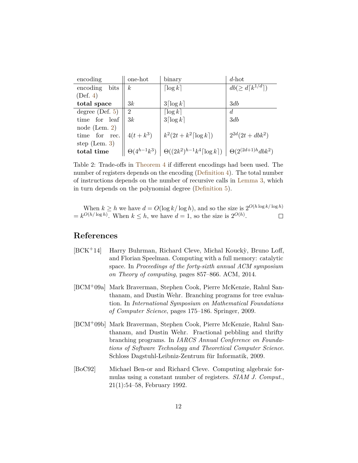| encoding          | one-hot        | binary                                                                      | $d$ -hot                            |
|-------------------|----------------|-----------------------------------------------------------------------------|-------------------------------------|
| encoding<br>bits  | $\kappa$       | $\lceil \log k \rceil$                                                      | $db (\geq d \lceil k^{1/d} \rceil)$ |
| (Def. 4)          |                |                                                                             |                                     |
| total space       | 3k             | $3\lceil \log k \rceil$                                                     | 3db                                 |
| degree $(Def. 5)$ | $\overline{2}$ | $\lceil \log k \rceil$                                                      | $\overline{d}$                      |
| time for leaf     | 3k             | $3\lceil \log k \rceil$                                                     | 3db                                 |
| node (Lem. $2)$   |                |                                                                             |                                     |
| time for rec.     | $4(t + k^3)$   | $k^2(2t+k^2\lceil \log k \rceil)$                                           | $2^{2d}(2t+dbk^2)$                  |
| step (Lem. $3)$ ) |                |                                                                             |                                     |
| total time        |                | $\Theta(4^{h-1}k^3) \mid \Theta((2k^2)^{h-1}k^4 \lceil \log k \rceil) \mid$ | $\Theta(2^{(2d+1)h}dbk^2)$          |

<span id="page-12-4"></span>Table 2: Trade-offs in [Theorem 4](#page-11-0) if different encodings had been used. The number of registers depends on the encoding [\(Definition 4\)](#page-3-3). The total number of instructions depends on the number of recursive calls in [Lemma 3,](#page-7-1) which in turn depends on the polynomial degree [\(Definition 5\)](#page-5-1).

When  $k \geq h$  we have  $d = O(\log k / \log h)$ , and so the size is  $2^{O(h \log k / \log h)}$  $= k^{O(h/\log h)}$ . When  $k \leq h$ , we have  $d = 1$ , so the size is  $2^{O(h)}$ .  $\Box$ 

# **References**

- <span id="page-12-3"></span>[BCK<sup>+</sup>14] Harry Buhrman, Richard Cleve, Michal Koucky, Bruno Loff, and Florian Speelman. Computing with a full memory: catalytic space. In *Proceedings of the forty-sixth annual ACM symposium on Theory of computing*, pages 857–866. ACM, 2014.
- <span id="page-12-0"></span>[BCM+09a] Mark Braverman, Stephen Cook, Pierre McKenzie, Rahul Santhanam, and Dustin Wehr. Branching programs for tree evaluation. In *International Symposium on Mathematical Foundations of Computer Science*, pages 175–186. Springer, 2009.
- <span id="page-12-1"></span>[BCM+09b] Mark Braverman, Stephen Cook, Pierre McKenzie, Rahul Santhanam, and Dustin Wehr. Fractional pebbling and thrifty branching programs. In *IARCS Annual Conference on Foundations of Software Technology and Theoretical Computer Science*. Schloss Dagstuhl-Leibniz-Zentrum für Informatik, 2009.
- <span id="page-12-2"></span>[BoC92] Michael Ben-or and Richard Cleve. Computing algebraic formulas using a constant number of registers. *SIAM J. Comput.*, 21(1):54–58, February 1992.